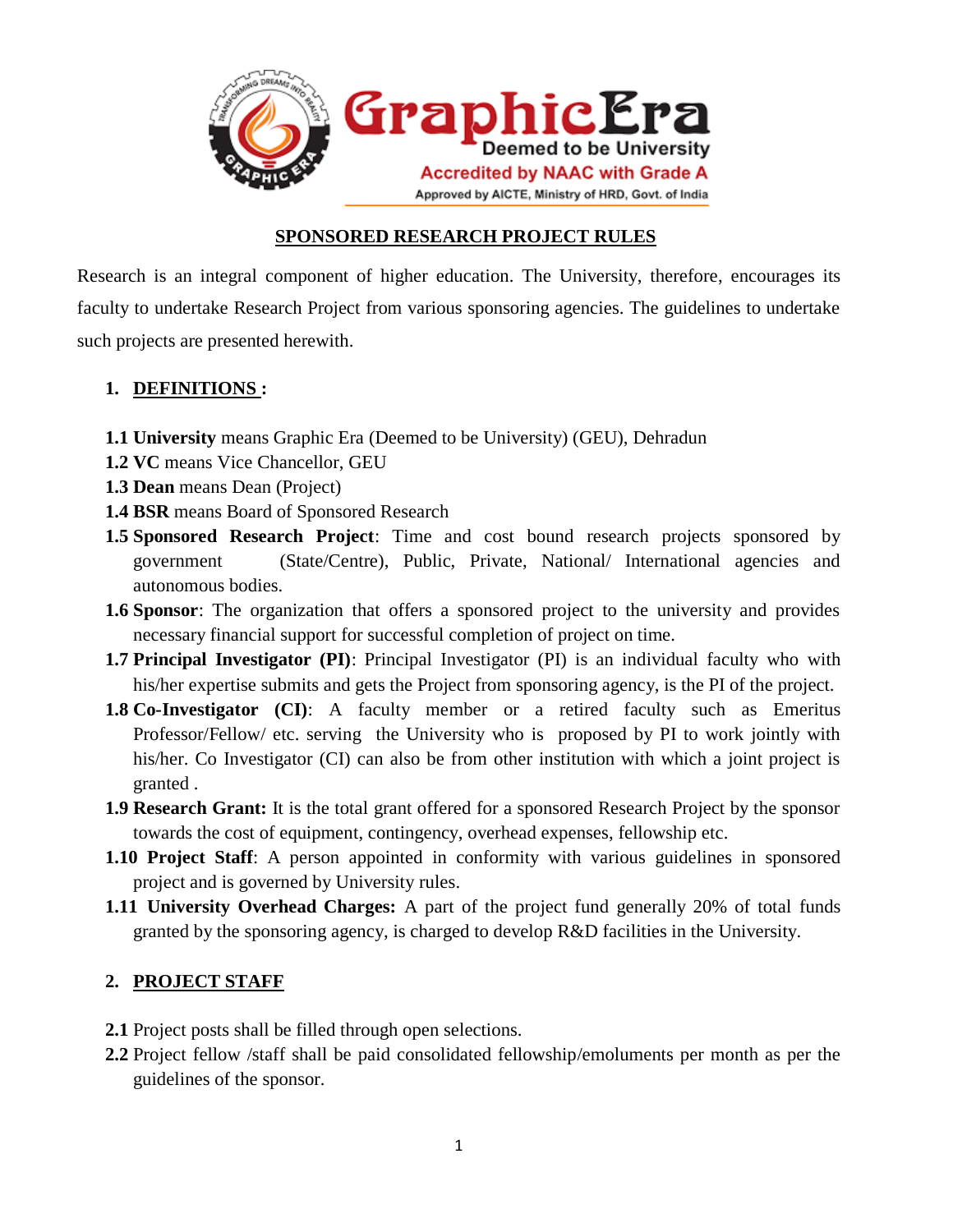

### **SPONSORED RESEARCH PROJECT RULES**

Research is an integral component of higher education. The University, therefore, encourages its faculty to undertake Research Project from various sponsoring agencies. The guidelines to undertake such projects are presented herewith.

## **1. DEFINITIONS :**

- **1.1 University** means Graphic Era (Deemed to be University) (GEU), Dehradun
- **1.2 VC** means Vice Chancellor, GEU
- **1.3 Dean** means Dean (Project)
- **1.4 BSR** means Board of Sponsored Research
- **1.5 Sponsored Research Project**: Time and cost bound research projects sponsored by government (State/Centre), Public, Private, National/ International agencies and autonomous bodies.
- **1.6 Sponsor**: The organization that offers a sponsored project to the university and provides necessary financial support for successful completion of project on time.
- **1.7 Principal Investigator (PI)**: Principal Investigator (PI) is an individual faculty who with his/her expertise submits and gets the Project from sponsoring agency, is the PI of the project.
- **1.8 Co-Investigator (CI)**: A faculty member or a retired faculty such as Emeritus Professor/Fellow/ etc. serving the University who is proposed by PI to work jointly with his/her. Co Investigator (CI) can also be from other institution with which a joint project is granted .
- **1.9 Research Grant:** It is the total grant offered for a sponsored Research Project by the sponsor towards the cost of equipment, contingency, overhead expenses, fellowship etc.
- **1.10 Project Staff**: A person appointed in conformity with various guidelines in sponsored project and is governed by University rules.
- **1.11 University Overhead Charges:** A part of the project fund generally 20% of total funds granted by the sponsoring agency, is charged to develop R&D facilities in the University.

# **2. PROJECT STAFF**

- **2.1** Project posts shall be filled through open selections.
- **2.2** Project fellow /staff shall be paid consolidated fellowship/emoluments per month as per the guidelines of the sponsor.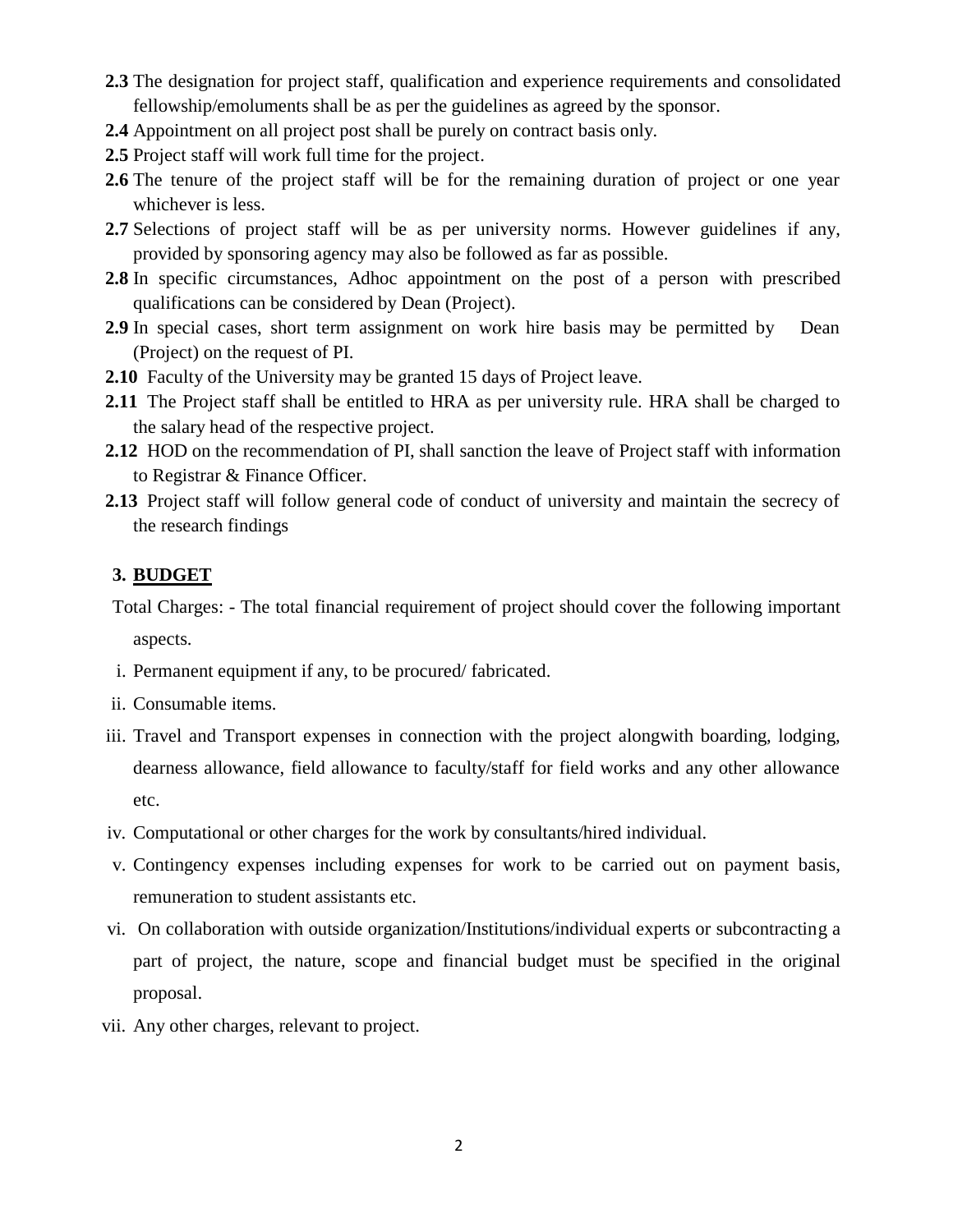- **2.3** The designation for project staff, qualification and experience requirements and consolidated fellowship/emoluments shall be as per the guidelines as agreed by the sponsor.
- **2.4** Appointment on all project post shall be purely on contract basis only.
- **2.5** Project staff will work full time for the project.
- **2.6** The tenure of the project staff will be for the remaining duration of project or one year whichever is less.
- **2.7** Selections of project staff will be as per university norms. However guidelines if any, provided by sponsoring agency may also be followed as far as possible.
- **2.8** In specific circumstances, Adhoc appointment on the post of a person with prescribed qualifications can be considered by Dean (Project).
- **2.9** In special cases, short term assignment on work hire basis may be permitted by Dean (Project) on the request of PI.
- **2.10** Faculty of the University may be granted 15 days of Project leave.
- **2.11** The Project staff shall be entitled to HRA as per university rule. HRA shall be charged to the salary head of the respective project.
- **2.12** HOD on the recommendation of PI, shall sanction the leave of Project staff with information to Registrar & Finance Officer.
- **2.13** Project staff will follow general code of conduct of university and maintain the secrecy of the research findings

### **3. BUDGET**

Total Charges: - The total financial requirement of project should cover the following important aspects.

- i. Permanent equipment if any, to be procured/ fabricated.
- ii. Consumable items.
- iii. Travel and Transport expenses in connection with the project alongwith boarding, lodging, dearness allowance, field allowance to faculty/staff for field works and any other allowance etc.
- iv. Computational or other charges for the work by consultants/hired individual.
- v. Contingency expenses including expenses for work to be carried out on payment basis, remuneration to student assistants etc.
- vi. On collaboration with outside organization/Institutions/individual experts or subcontracting a part of project, the nature, scope and financial budget must be specified in the original proposal.
- vii. Any other charges, relevant to project.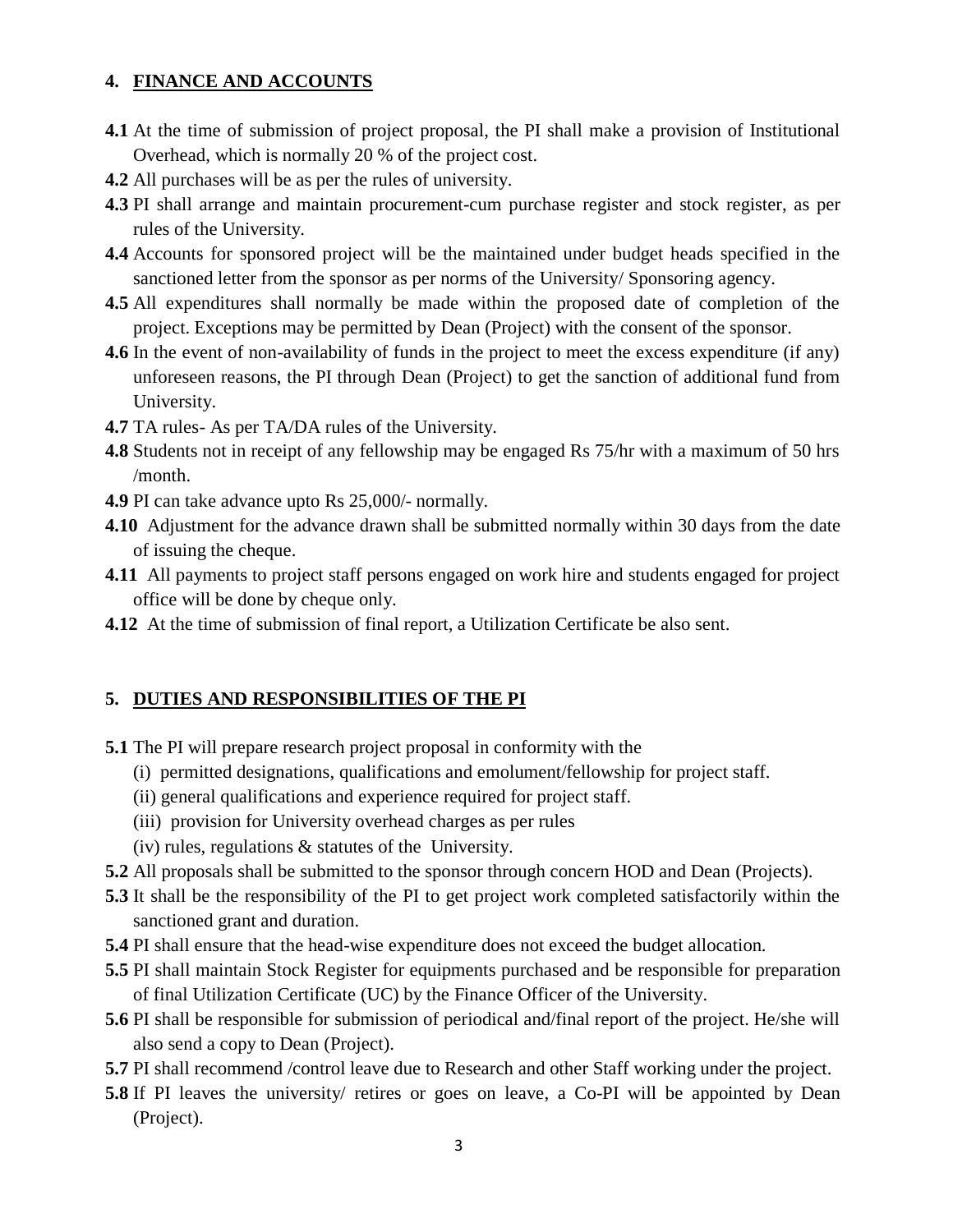### **4. FINANCE AND ACCOUNTS**

- **4.1** At the time of submission of project proposal, the PI shall make a provision of Institutional Overhead, which is normally 20 % of the project cost.
- **4.2** All purchases will be as per the rules of university.
- **4.3** PI shall arrange and maintain procurement-cum purchase register and stock register, as per rules of the University.
- **4.4** Accounts for sponsored project will be the maintained under budget heads specified in the sanctioned letter from the sponsor as per norms of the University/ Sponsoring agency.
- **4.5** All expenditures shall normally be made within the proposed date of completion of the project. Exceptions may be permitted by Dean (Project) with the consent of the sponsor.
- **4.6** In the event of non-availability of funds in the project to meet the excess expenditure (if any) unforeseen reasons, the PI through Dean (Project) to get the sanction of additional fund from University.
- **4.7** TA rules- As per TA/DA rules of the University.
- **4.8** Students not in receipt of any fellowship may be engaged Rs 75/hr with a maximum of 50 hrs /month.
- **4.9** PI can take advance upto Rs 25,000/- normally.
- **4.10** Adjustment for the advance drawn shall be submitted normally within 30 days from the date of issuing the cheque.
- **4.11** All payments to project staff persons engaged on work hire and students engaged for project office will be done by cheque only.
- **4.12** At the time of submission of final report, a Utilization Certificate be also sent.

### **5. DUTIES AND RESPONSIBILITIES OF THE PI**

- **5.1** The PI will prepare research project proposal in conformity with the
	- (i) permitted designations, qualifications and emolument/fellowship for project staff.
	- (ii) general qualifications and experience required for project staff.
	- (iii) provision for University overhead charges as per rules
	- (iv) rules, regulations & statutes of the University.
- **5.2** All proposals shall be submitted to the sponsor through concern HOD and Dean (Projects).
- **5.3** It shall be the responsibility of the PI to get project work completed satisfactorily within the sanctioned grant and duration.
- **5.4** PI shall ensure that the head-wise expenditure does not exceed the budget allocation.
- **5.5** PI shall maintain Stock Register for equipments purchased and be responsible for preparation of final Utilization Certificate (UC) by the Finance Officer of the University.
- **5.6** PI shall be responsible for submission of periodical and/final report of the project. He/she will also send a copy to Dean (Project).
- **5.7** PI shall recommend /control leave due to Research and other Staff working under the project.
- **5.8** If PI leaves the university/ retires or goes on leave, a Co-PI will be appointed by Dean (Project).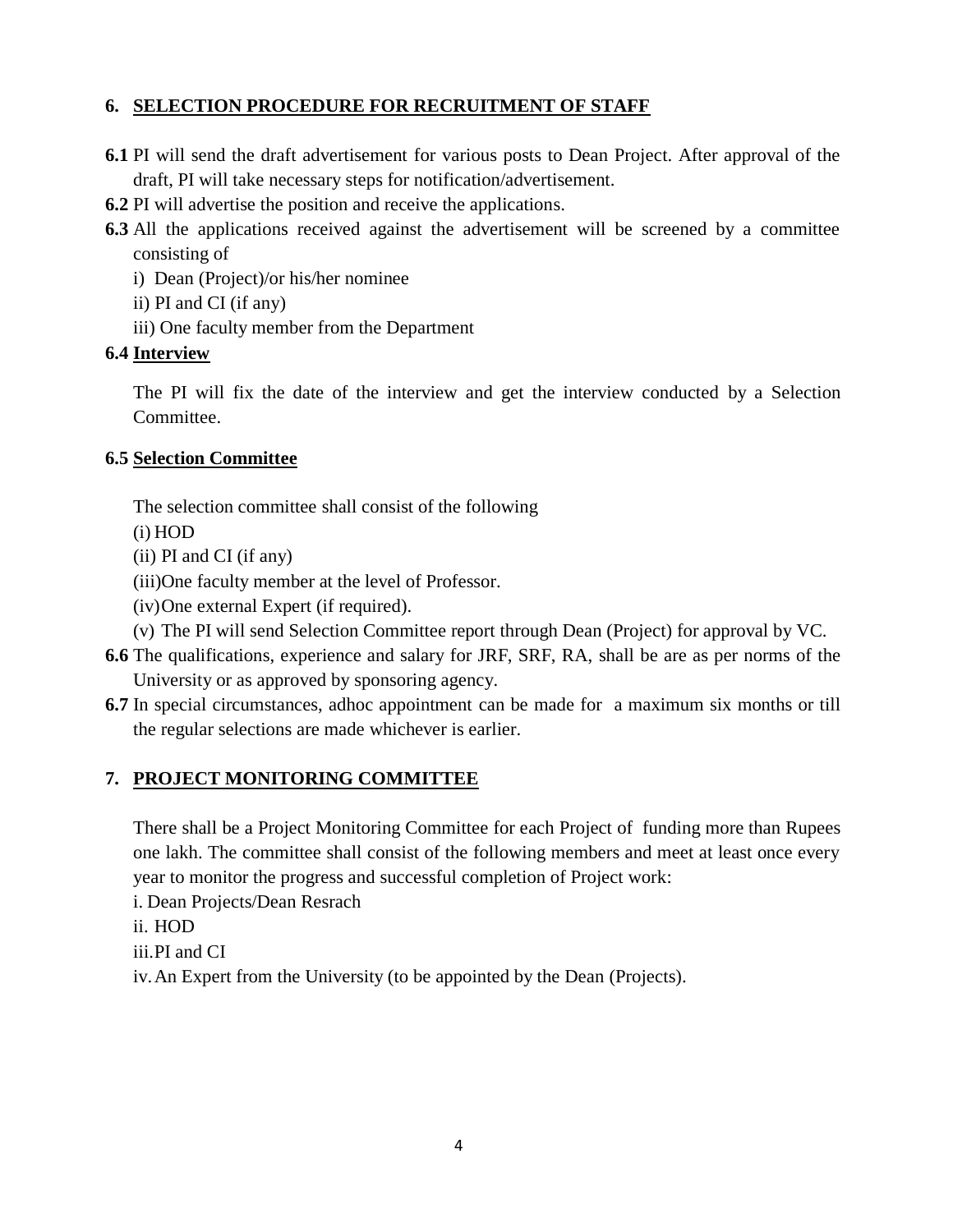### **6. SELECTION PROCEDURE FOR RECRUITMENT OF STAFF**

- **6.1** PI will send the draft advertisement for various posts to Dean Project. After approval of the draft, PI will take necessary steps for notification/advertisement.
- **6.2** PI will advertise the position and receive the applications.
- **6.3** All the applications received against the advertisement will be screened by a committee consisting of
	- i) Dean (Project)/or his/her nominee
	- ii) PI and CI (if any)
	- iii) One faculty member from the Department

### **6.4 Interview**

The PI will fix the date of the interview and get the interview conducted by a Selection Committee.

### **6.5 Selection Committee**

The selection committee shall consist of the following

(i) HOD

- (ii) PI and CI (if any)
- (iii)One faculty member at the level of Professor.
- (iv)One external Expert (if required).
- (v) The PI will send Selection Committee report through Dean (Project) for approval by VC.
- **6.6** The qualifications, experience and salary for JRF, SRF, RA, shall be are as per norms of the University or as approved by sponsoring agency.
- **6.7** In special circumstances, adhoc appointment can be made for a maximum six months or till the regular selections are made whichever is earlier.

# **7. PROJECT MONITORING COMMITTEE**

There shall be a Project Monitoring Committee for each Project of funding more than Rupees one lakh. The committee shall consist of the following members and meet at least once every year to monitor the progress and successful completion of Project work:

- i. Dean Projects/Dean Resrach
- ii. HOD
- iii.PI and CI

iv.An Expert from the University (to be appointed by the Dean (Projects).